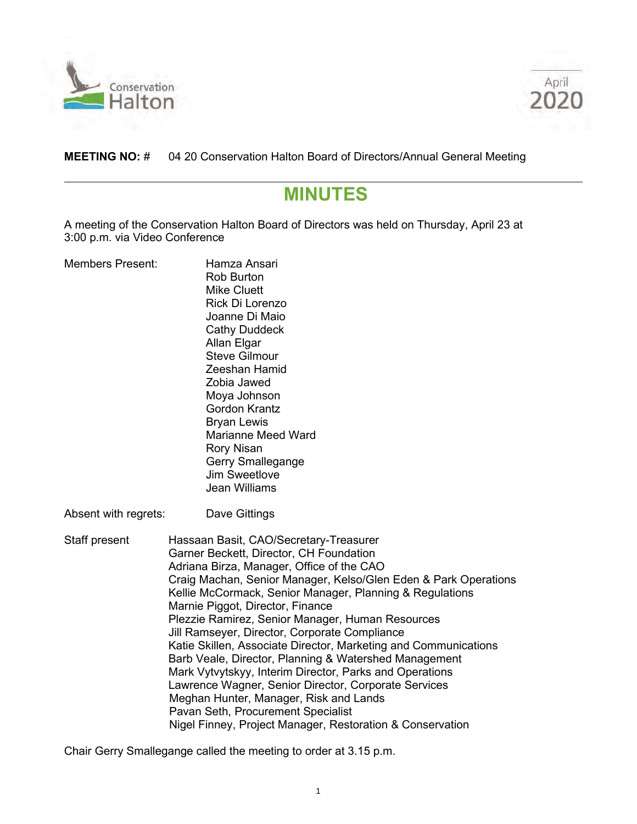



# **MEETING NO:** # 04 20 Conservation Halton Board of Directors/Annual General Meeting

# **MINUTES**

A meeting of the Conservation Halton Board of Directors was held on Thursday, April 23 at 3:00 p.m. via Video Conference

| <b>Members Present:</b> | Hamza Ansari<br><b>Rob Burton</b><br><b>Mike Cluett</b><br>Rick Di Lorenzo<br>Joanne Di Maio<br><b>Cathy Duddeck</b><br>Allan Elgar<br><b>Steve Gilmour</b><br>Zeeshan Hamid<br>Zobia Jawed<br>Moya Johnson<br><b>Gordon Krantz</b><br><b>Bryan Lewis</b><br><b>Marianne Meed Ward</b><br><b>Rory Nisan</b><br>Gerry Smallegange<br><b>Jim Sweetlove</b><br><b>Jean Williams</b>                                                                                                                                                                                                                                                                                                                                                                                                                   |  |
|-------------------------|----------------------------------------------------------------------------------------------------------------------------------------------------------------------------------------------------------------------------------------------------------------------------------------------------------------------------------------------------------------------------------------------------------------------------------------------------------------------------------------------------------------------------------------------------------------------------------------------------------------------------------------------------------------------------------------------------------------------------------------------------------------------------------------------------|--|
| Absent with regrets:    | Dave Gittings                                                                                                                                                                                                                                                                                                                                                                                                                                                                                                                                                                                                                                                                                                                                                                                      |  |
| Staff present           | Hassaan Basit, CAO/Secretary-Treasurer<br>Garner Beckett, Director, CH Foundation<br>Adriana Birza, Manager, Office of the CAO<br>Craig Machan, Senior Manager, Kelso/Glen Eden & Park Operations<br>Kellie McCormack, Senior Manager, Planning & Regulations<br>Marnie Piggot, Director, Finance<br>Plezzie Ramirez, Senior Manager, Human Resources<br>Jill Ramseyer, Director, Corporate Compliance<br>Katie Skillen, Associate Director, Marketing and Communications<br>Barb Veale, Director, Planning & Watershed Management<br>Mark Vytvytskyy, Interim Director, Parks and Operations<br>Lawrence Wagner, Senior Director, Corporate Services<br>Meghan Hunter, Manager, Risk and Lands<br>Pavan Seth, Procurement Specialist<br>Nigel Finney, Project Manager, Restoration & Conservation |  |

Chair Gerry Smallegange called the meeting to order at 3.15 p.m.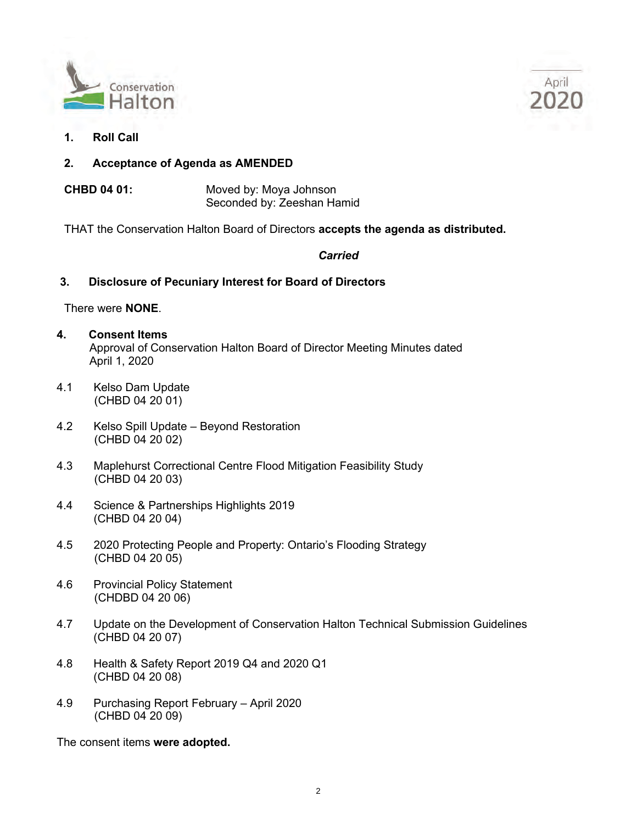



- **1. Roll Call**
- **2. Acceptance of Agenda as AMENDED**
- **CHBD 04 01:** Moved by: Moya Johnson Seconded by: Zeeshan Hamid

THAT the Conservation Halton Board of Directors **accepts the agenda as distributed.**

## *Carried*

## **3. Disclosure of Pecuniary Interest for Board of Directors**

#### There were **NONE**.

- **4. Consent Items** Approval of Conservation Halton Board of Director Meeting Minutes dated April 1, 2020
- 4.1 Kelso Dam Update (CHBD 04 20 01)
- 4.2 Kelso Spill Update Beyond Restoration (CHBD 04 20 02)
- 4.3 Maplehurst Correctional Centre Flood Mitigation Feasibility Study (CHBD 04 20 03)
- 4.4 Science & Partnerships Highlights 2019 (CHBD 04 20 04)
- 4.5 2020 Protecting People and Property: Ontario's Flooding Strategy (CHBD 04 20 05)
- 4.6 Provincial Policy Statement (CHDBD 04 20 06)
- 4.7 Update on the Development of Conservation Halton Technical Submission Guidelines (CHBD 04 20 07)
- 4.8 Health & Safety Report 2019 Q4 and 2020 Q1 (CHBD 04 20 08)
- 4.9 Purchasing Report February April 2020 (CHBD 04 20 09)

The consent items **were adopted.**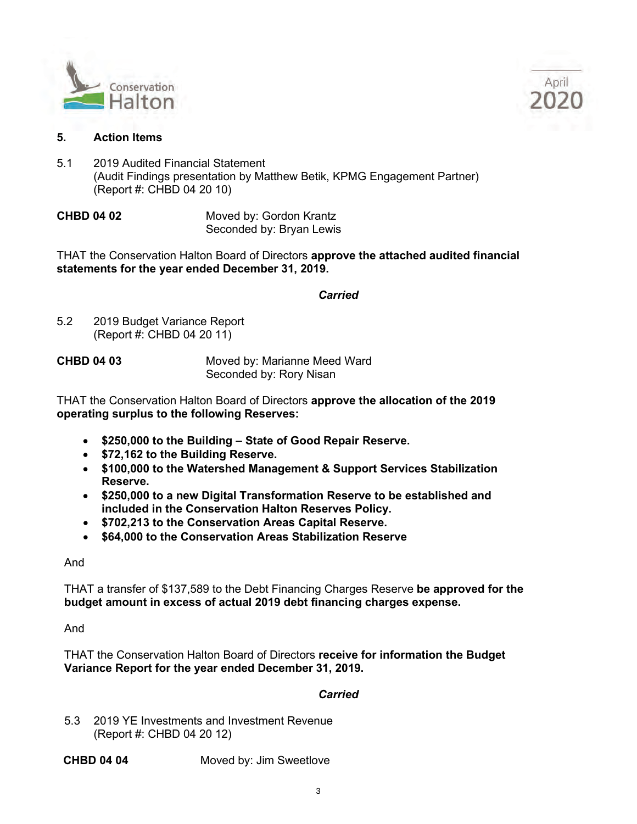



## **5. Action Items**

5.1 2019 Audited Financial Statement (Audit Findings presentation by Matthew Betik, KPMG Engagement Partner) (Report #: CHBD 04 20 10)

**CHBD 04 02** Moved by: Gordon Krantz Seconded by: Bryan Lewis

THAT the Conservation Halton Board of Directors **approve the attached audited financial statements for the year ended December 31, 2019.**

*Carried*

5.2 2019 Budget Variance Report (Report #: CHBD 04 20 11)

**CHBD 04 03** Moved by: Marianne Meed Ward Seconded by: Rory Nisan

THAT the Conservation Halton Board of Directors **approve the allocation of the 2019 operating surplus to the following Reserves:**

- **\$250,000 to the Building State of Good Repair Reserve.**
- **\$72,162 to the Building Reserve.**
- **\$100,000 to the Watershed Management & Support Services Stabilization Reserve.**
- **\$250,000 to a new Digital Transformation Reserve to be established and included in the Conservation Halton Reserves Policy.**
- **\$702,213 to the Conservation Areas Capital Reserve.**
- **\$64,000 to the Conservation Areas Stabilization Reserve**

And

THAT a transfer of \$137,589 to the Debt Financing Charges Reserve **be approved for the budget amount in excess of actual 2019 debt financing charges expense.**

And

THAT the Conservation Halton Board of Directors **receive for information the Budget Variance Report for the year ended December 31, 2019.**

## *Carried*

5.3 2019 YE Investments and Investment Revenue (Report #: CHBD 04 20 12)

**CHBD 04 04**  Moved by: Jim Sweetlove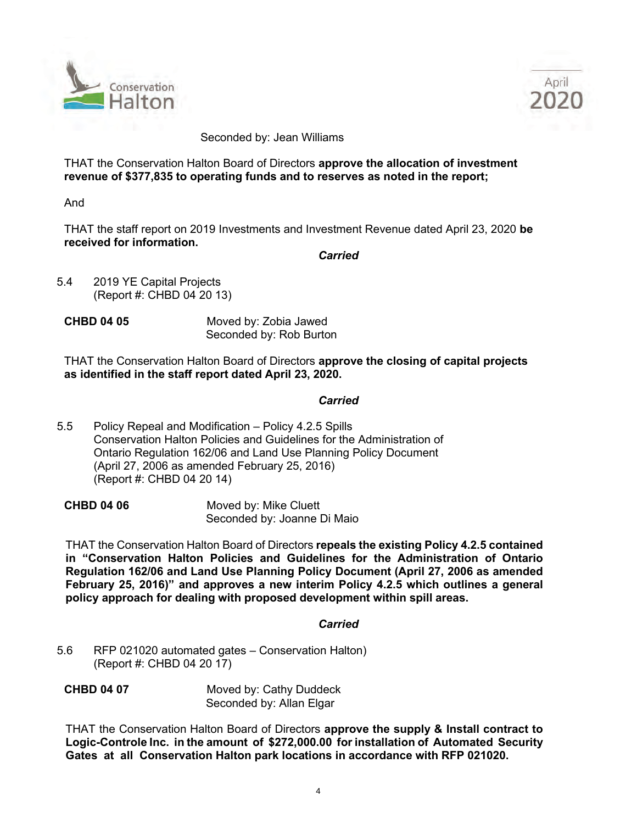



#### Seconded by: Jean Williams

THAT the Conservation Halton Board of Directors **approve the allocation of investment revenue of \$377,835 to operating funds and to reserves as noted in the report;** 

And

THAT the staff report on 2019 Investments and Investment Revenue dated April 23, 2020 **be received for information.**

*Carried* 

- 5.4 2019 YE Capital Projects (Report #: CHBD 04 20 13)
- **CHBD 04 05** Moved by: Zobia Jawed Seconded by: Rob Burton

THAT the Conservation Halton Board of Directors **approve the closing of capital projects as identified in the staff report dated April 23, 2020.**

## *Carried* **Carried**

5.5 Policy Repeal and Modification – Policy 4.2.5 Spills Conservation Halton Policies and Guidelines for the Administration of Ontario Regulation 162/06 and Land Use Planning Policy Document (April 27, 2006 as amended February 25, 2016) (Report #: CHBD 04 20 14)

**CHBD 04 06** Moved by: Mike Cluett Seconded by: Joanne Di Maio

THAT the Conservation Halton Board of Directors **repeals the existing Policy 4.2.5 contained in "Conservation Halton Policies and Guidelines for the Administration of Ontario Regulation 162/06 and Land Use Planning Policy Document (April 27, 2006 as amended February 25, 2016)" and approves a new interim Policy 4.2.5 which outlines a general policy approach for dealing with proposed development within spill areas.**

## *Carried*

5.6 RFP 021020 automated gates – Conservation Halton) (Report #: CHBD 04 20 17)

**CHBD 04 07** Moved by: Cathy Duddeck Seconded by: Allan Elgar

THAT the Conservation Halton Board of Directors **approve the supply & Install contract to Logic-Controle Inc. in the amount of \$272,000.00 for installation of Automated Security Gates at all Conservation Halton park locations in accordance with RFP 021020.**